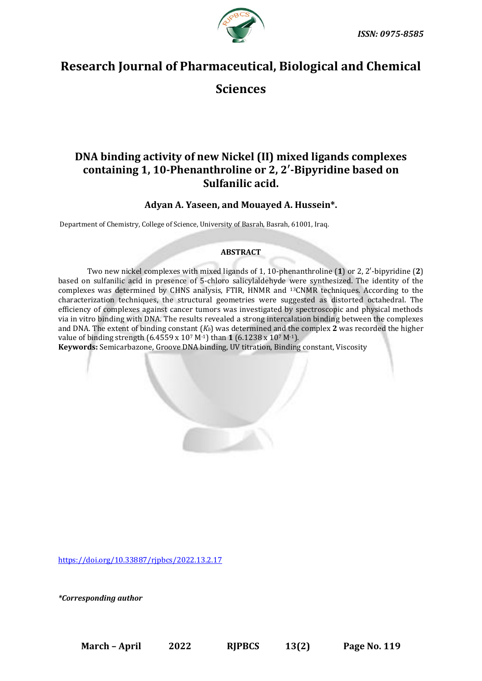

# **Research Journal of Pharmaceutical, Biological and Chemical**

**Sciences**

# **DNA binding activity of new Nickel (II) mixed ligands complexes containing 1, 10-Phenanthroline or 2, 2′-Bipyridine based on Sulfanilic acid.**

**Adyan A. Yaseen, and Mouayed A. Hussein\*.**

Department of Chemistry, College of Science, University of Basrah, Basrah, 61001, Iraq.

# **ABSTRACT**

Two new nickel complexes with mixed ligands of 1, 10-phenanthroline (**1**) or 2, 2′-bipyridine (**2**) based on sulfanilic acid in presence of 5-chloro salicylaldehyde were synthesized. The identity of the complexes was determined by CHNS analysis, FTIR, HNMR and 13CNMR techniques. According to the characterization techniques, the structural geometries were suggested as distorted octahedral. The efficiency of complexes against cancer tumors was investigated by spectroscopic and physical methods via in vitro binding with DNA. The results revealed a strong intercalation binding between the complexes and DNA. The extent of binding constant (*Kb*) was determined and the complex **2** was recorded the higher value of binding strength (6.4559 x 10<sup>7</sup> M-1) than **1** (6.1238 x 10<sup>7</sup> M-1).

**Keywords:** Semicarbazone, Groove DNA binding, UV titration, Binding constant, Viscosity

<https://doi.org/10.33887/rjpbcs/2022.13.2.17>

*\*Corresponding author*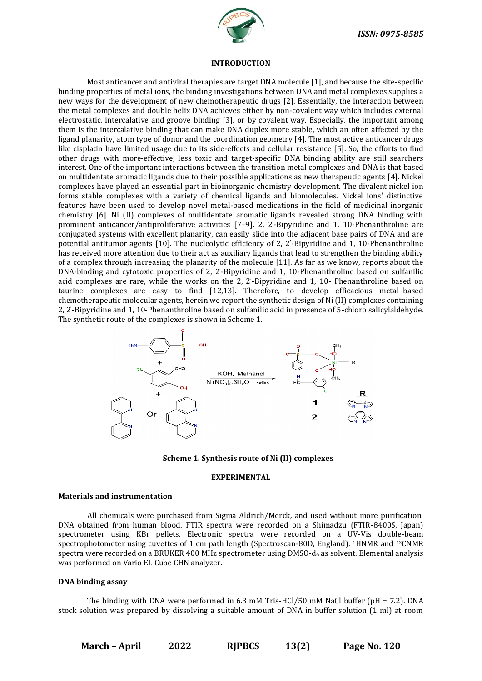

#### **INTRODUCTION**

Most anticancer and antiviral therapies are target DNA molecule [1], and because the site-specific binding properties of metal ions, the binding investigations between DNA and metal complexes supplies a new ways for the development of new chemotherapeutic drugs [2]. Essentially, the interaction between the metal complexes and double helix DNA achieves either by non-covalent way which includes external electrostatic, intercalative and groove binding [3], or by covalent way. Especially, the important among them is the intercalative binding that can make DNA duplex more stable, which an often affected by the ligand planarity, atom type of donor and the coordination geometry [4]. The most active anticancer drugs like cisplatin have limited usage due to its side-effects and cellular resistance [5]. So, the efforts to find other drugs with more-effective, less toxic and target-specific DNA binding ability are still searchers interest. One of the important interactions between the transition metal complexes and DNA is that based on multidentate aromatic ligands due to their possible applications as new therapeutic agents [4]. Nickel complexes have played an essential part in bioinorganic chemistry development. The divalent nickel ion forms stable complexes with a variety of chemical ligands and biomolecules. Nickel ions' distinctive features have been used to develop novel metal-based medications in the field of medicinal inorganic chemistry [6]. Ni (II) complexes of multidentate aromatic ligands revealed strong DNA binding with prominent anticancer/antiproliferative activities [7–9]. 2, 2' -Bipyridine and 1, 10-Phenanthroline are conjugated systems with excellent planarity, can easily slide into the adjacent base pairs of DNA and are potential antitumor agents [10]. The nucleolytic efficiency of 2, 2' -Bipyridine and 1, 10-Phenanthroline has received more attention due to their act as auxiliary ligands that lead to strengthen the binding ability of a complex through increasing the planarity of the molecule [11]. As far as we know, reports about the DNA-binding and cytotoxic properties of 2, 2' -Bipyridine and 1, 10-Phenanthroline based on sulfanilic acid complexes are rare, while the works on the 2, 2' -Bipyridine and 1, 10- Phenanthroline based on taurine complexes are easy to find [12,13]. Therefore, to develop efficacious metal–based chemotherapeutic molecular agents, herein we report the synthetic design of Ni (II) complexes containing 2, 2' -Bipyridine and 1, 10-Phenanthroline based on sulfanilic acid in presence of 5-chloro salicylaldehyde. The synthetic route of the complexes is shown in Scheme 1.



**Scheme 1. Synthesis route of Ni (II) complexes**

#### **EXPERIMENTAL**

# **Materials and instrumentation**

All chemicals were purchased from Sigma Aldrich/Merck, and used without more purification. DNA obtained from human blood. FTIR spectra were recorded on a Shimadzu (FTIR-8400S, Japan) spectrometer using KBr pellets. Electronic spectra were recorded on a UV-Vis double-beam spectrophotometer using cuvettes of 1 cm path length (Spectroscan-80D, England). 1HNMR and 13CNMR spectra were recorded on a BRUKER 400 MHz spectrometer using DMSO-d<sub>6</sub> as solvent. Elemental analysis was performed on Vario EL Cube CHN analyzer.

# **DNA binding assay**

The binding with DNA were performed in 6.3 mM Tris-HCl/50 mM NaCl buffer (pH = 7.2). DNA stock solution was prepared by dissolving a suitable amount of DNA in buffer solution (1 ml) at room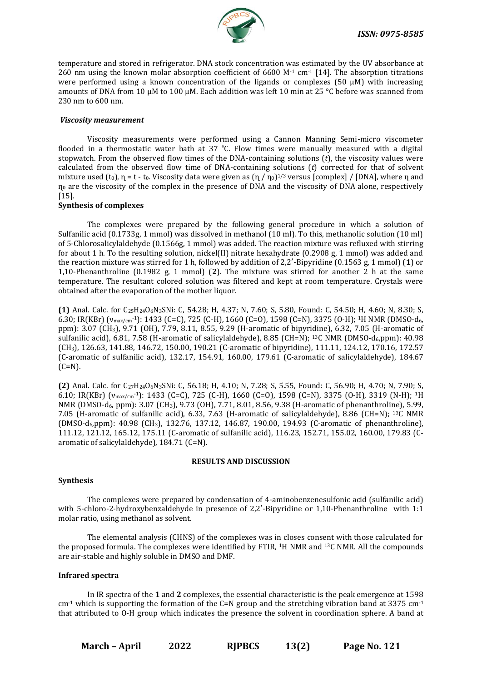

temperature and stored in refrigerator. DNA stock concentration was estimated by the UV absorbance at 260 nm using the known molar absorption coefficient of 6600 M $\cdot$ 1 cm $\cdot$ 1 [14]. The absorption titrations were performed using a known concentration of the ligands or complexes (50 μM) with increasing amounts of DNA from 10 μM to 100 μM. Each addition was left 10 min at 25 °C before was scanned from 230 nm to 600 nm.

#### *Viscosity measurement*

Viscosity measurements were performed using a Cannon Manning Semi-micro viscometer flooded in a thermostatic water bath at 37 ºC. Flow times were manually measured with a digital stopwatch. From the observed flow times of the DNA-containing solutions (*t*), the viscosity values were calculated from the observed flow time of DNA-containing solutions (*t*) corrected for that of solvent mixture used (to),  $\eta$  = t - to. Viscosity data were given as  $(\eta / \eta_0)^{1/3}$  versus [complex] / [DNA], where  $\eta$  and  $\eta_0$  are the viscosity of the complex in the presence of DNA and the viscosity of DNA alone, respectively [15].

# **Synthesis of complexes**

The complexes were prepared by the following general procedure in which a solution of Sulfanilic acid (0.1733g, 1 mmol) was dissolved in methanol (10 ml). To this, methanolic solution (10 ml) of 5-Chlorosalicylaldehyde (0.1566g, 1 mmol) was added. The reaction mixture was refluxed with stirring for about 1 h. To the resulting solution, nickel(II) nitrate hexahydrate (0.2908 g, 1 mmol) was added and the reaction mixture was stirred for 1 h, followed by addition of 2,2′-Bipyridine (0.1563 g, 1 mmol) (**1**) or 1,10-Phenanthroline (0.1982 g, 1 mmol) (**2**). The mixture was stirred for another 2 h at the same temperature. The resultant colored solution was filtered and kept at room temperature. Crystals were obtained after the evaporation of the mother liquor.

**(1)** Anal. Calc. for C25H24O6N3SNi: C, 54.28; H, 4.37; N, 7.60; S, 5.80, Found: C, 54.50; H, 4.60; N, 8.30; S, 6.30; IR(KBr) (νmax/cm-1): 1433 (C=C), 725 (C-H), 1660 (C=O), 1598 (C=N), 3375 (O-H); 1H NMR (DMSO-d6, ppm): 3.07 (CH3), 9.71 (OH), 7.79, 8.11, 8.55, 9.29 (H-aromatic of bipyridine), 6.32, 7.05 (H-aromatic of sulfanilic acid), 6.81, 7.58 (H-aromatic of salicylaldehyde), 8.85 (CH=N); <sup>13</sup>C NMR (DMSO-d<sub>6</sub>,ppm): 40.98 (CH3), 126.63, 141.88, 146.72, 150.00, 190.21 (C-aromatic of bipyridine), 111.11, 124.12, 170.16, 172.57 (C-aromatic of sulfanilic acid), 132.17, 154.91, 160.00, 179.61 (C-aromatic of salicylaldehyde), 184.67  $(C=N)$ .

**(2)** Anal. Calc. for C27H24O6N3SNi: C, 56.18; H, 4.10; N, 7.28; S, 5.55, Found: C, 56.90; H, 4.70; N, 7.90; S, 6.10; IR(KBr) (νmax/cm-1): 1433 (C=C), 725 (C-H), 1660 (C=O), 1598 (C=N), 3375 (O-H), 3319 (N-H); 1H NMR (DMSO-d6, ppm): 3.07 (CH3), 9.73 (OH), 7.71, 8.01, 8.56, 9.38 (H-aromatic of phenanthroline), 5.99, 7.05 (H-aromatic of sulfanilic acid), 6.33, 7.63 (H-aromatic of salicylaldehyde), 8.86 (CH=N); 13C NMR (DMSO-d6,ppm): 40.98 (CH3), 132.76, 137.12, 146.87, 190.00, 194.93 (C-aromatic of phenanthroline), 111.12, 121.12, 165.12, 175.11 (C-aromatic of sulfanilic acid), 116.23, 152.71, 155.02, 160.00, 179.83 (Caromatic of salicylaldehyde), 184.71 (C=N).

#### **RESULTS AND DISCUSSION**

#### **Synthesis**

The complexes were prepared by condensation of 4-aminobenzenesulfonic acid (sulfanilic acid) with 5-chloro-2-hydroxybenzaldehyde in presence of 2,2′-Bipyridine or 1,10-Phenanthroline with 1:1 molar ratio, using methanol as solvent.

The elemental analysis (CHNS) of the complexes was in closes consent with those calculated for the proposed formula. The complexes were identified by FTIR, 1H NMR and 13C NMR. All the compounds are air-stable and highly soluble in DMSO and DMF.

# **Infrared spectra**

In IR spectra of the **1** and **2** complexes, the essential characteristic is the peak emergence at 1598  $cm<sup>-1</sup>$  which is supporting the formation of the C=N group and the stretching vibration band at 3375  $cm<sup>-1</sup>$ that attributed to O-H group which indicates the presence the solvent in coordination sphere. A band at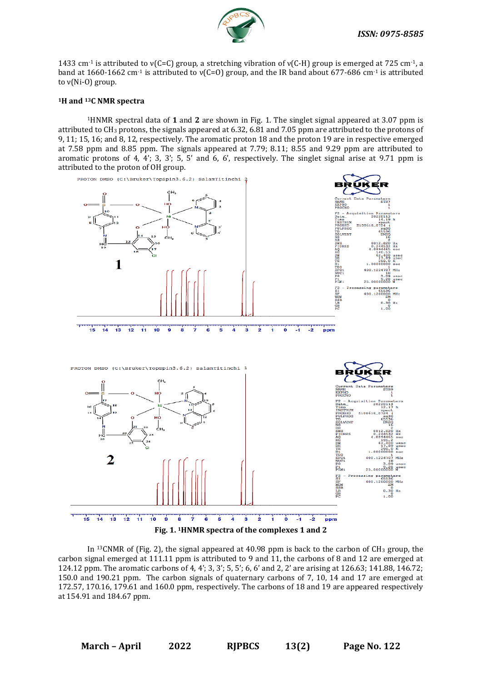

1433 cm<sup>-1</sup> is attributed to  $v(C=C)$  group, a stretching vibration of  $v(C-H)$  group is emerged at 725 cm<sup>-1</sup>, a band at 1660-1662 cm<sup>-1</sup> is attributed to  $v(C=0)$  group, and the IR band about 677-686 cm<sup>-1</sup> is attributed to ν(Ni-O) group.

#### **<sup>1</sup>H and 13C NMR spectra**

<sup>1</sup>HNMR spectral data of **1** and **2** are shown in Fig. 1. The singlet signal appeared at 3.07 ppm is attributed to CH<sup>3</sup> protons, the signals appeared at 6.32, 6.81 and 7.05 ppm are attributed to the protons of 9, 11; 15, 16; and 8, 12, respectively. The aromatic proton 18 and the proton 19 are in respective emerged at 7.58 ppm and 8.85 ppm. The signals appeared at 7.79; 8.11; 8.55 and 9.29 ppm are attributed to aromatic protons of 4, 4'; 3, 3'; 5, 5' and 6, 6', respectively. The singlet signal arise at 9.71 ppm is attributed to the proton of OH group.



In <sup>13</sup>CNMR of (Fig. 2), the signal appeared at  $40.98$  ppm is back to the carbon of CH<sub>3</sub> group, the carbon signal emerged at 111.11 ppm is attributed to 9 and 11, the carbons of 8 and 12 are emerged at 124.12 ppm. The aromatic carbons of 4, 4'; 3, 3'; 5, 5'; 6, 6' and 2, 2' are arising at 126.63; 141.88, 146.72; 150.0 and 190.21 ppm. The carbon signals of quaternary carbons of 7, 10, 14 and 17 are emerged at 172.57, 170.16, 179.61 and 160.0 ppm, respectively. The carbons of 18 and 19 are appeared respectively at 154.91 and 184.67 ppm.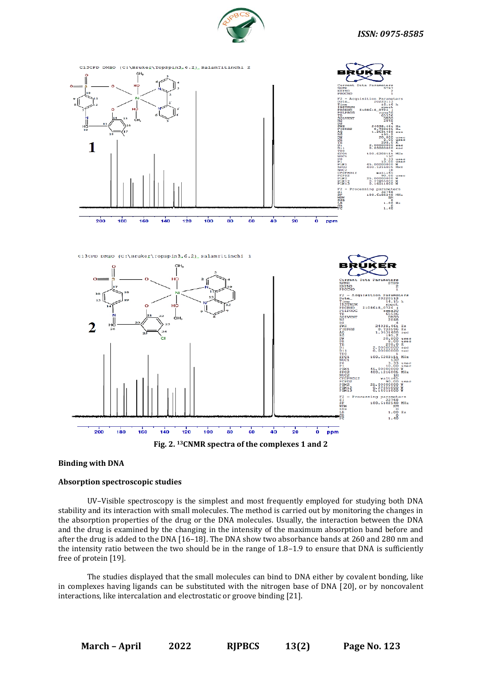



#### **Binding with DNA**

#### **Absorption spectroscopic studies**

UV–Visible spectroscopy is the simplest and most frequently employed for studying both DNA stability and its interaction with small molecules. The method is carried out by monitoring the changes in the absorption properties of the drug or the DNA molecules. Usually, the interaction between the DNA and the drug is examined by the changing in the intensity of the maximum absorption band before and after the drug is added to the DNA [16–18]. The DNA show two absorbance bands at 260 and 280 nm and the intensity ratio between the two should be in the range of  $1.8-1.9$  to ensure that DNA is sufficiently free of protein [19].

The studies displayed that the small molecules can bind to DNA either by covalent bonding, like in complexes having ligands can be substituted with the nitrogen base of DNA [20], or by noncovalent interactions, like intercalation and electrostatic or groove binding [21].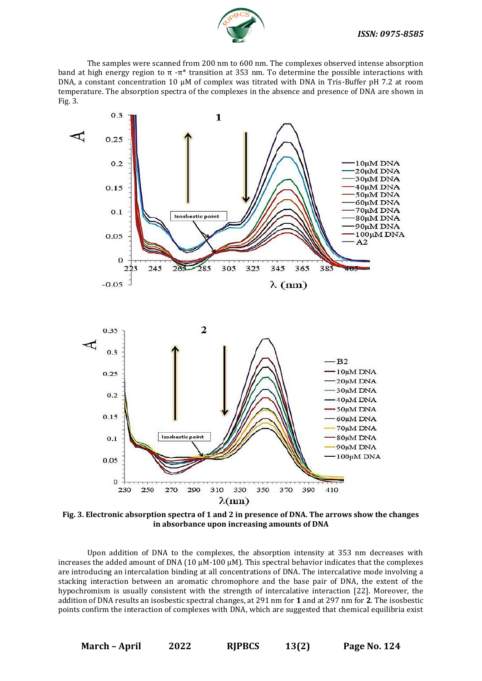

 The samples were scanned from 200 nm to 600 nm. The complexes observed intense absorption band at high energy region to π -π<sup>\*</sup> transition at 353 nm. To determine the possible interactions with DNA, a constant concentration 10 μM of complex was titrated with DNA in Tris-Buffer pH 7.2 at room temperature. The absorption spectra of the complexes in the absence and presence of DNA are shown in Fig. 3.



**Fig. 3. Electronic absorption spectra of 1 and 2 in presence of DNA. The arrows show the changes in absorbance upon increasing amounts of DNA**

 Upon addition of DNA to the complexes, the absorption intensity at 353 nm decreases with increases the added amount of DNA (10  $\mu$ M-100  $\mu$ M). This spectral behavior indicates that the complexes are introducing an intercalation binding at all concentrations of DNA. The intercalative mode involving a stacking interaction between an aromatic chromophore and the base pair of DNA, the extent of the hypochromism is usually consistent with the strength of intercalative interaction [22]. Moreover, the addition of DNA results an isosbestic spectral changes, at 291 nm for **1** and at 297 nm for **2**. The isosbestic points confirm the interaction of complexes with DNA, which are suggested that chemical equilibria exist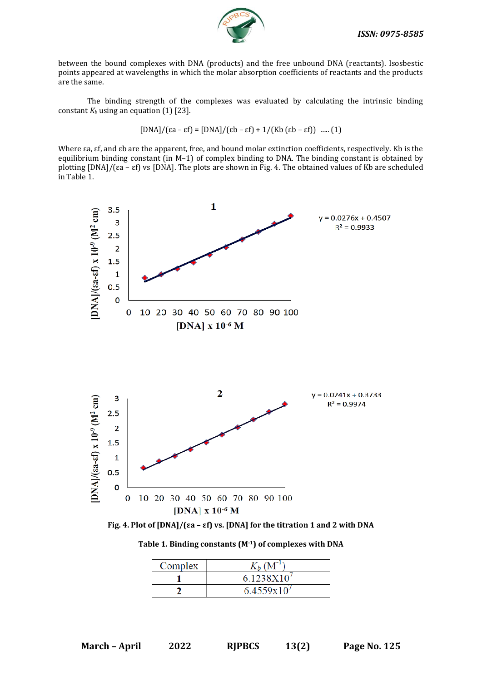

between the bound complexes with DNA (products) and the free unbound DNA (reactants). Isosbestic points appeared at wavelengths in which the molar absorption coefficients of reactants and the products are the same.

The binding strength of the complexes was evaluated by calculating the intrinsic binding constant  $K_b$  using an equation  $(1)$  [23].

$$
[DNA]/(\varepsilon a - \varepsilon f) = [DNA]/(\varepsilon b - \varepsilon f) + 1/(Kb (\varepsilon b - \varepsilon f))
$$
 ..... (1)

Where εa, εf, and εb are the apparent, free, and bound molar extinction coefficients, respectively. Kb is the equilibrium binding constant (in M–1) of complex binding to DNA. The binding constant is obtained by plotting [DNA]/(εa – εf) vs [DNA]. The plots are shown in Fig. 4. The obtained values of Kb are scheduled in Table 1.



**Fig. 4. Plot of [DNA]/(εa – εf) vs. [DNA] for the titration 1 and 2 with DNA**

**Table 1. Binding constants (M-1) of complexes with DNA**

| Complex | $K_b$ $(M^{-1})$       |
|---------|------------------------|
|         | 6.1238X10              |
|         | $6.4559 \times 10^{7}$ |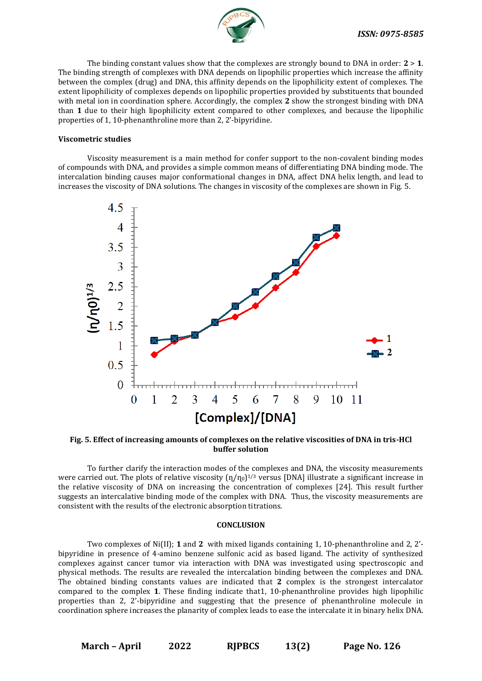

The binding constant values show that the complexes are strongly bound to DNA in order: **2** > **1**. The binding strength of complexes with DNA depends on lipophilic properties which increase the affinity between the complex (drug) and DNA, this affinity depends on the lipophilicity extent of complexes. The extent lipophilicity of complexes depends on lipophilic properties provided by substituents that bounded with metal ion in coordination sphere. Accordingly, the complex **2** show the strongest binding with DNA than **1** due to their high lipophilicity extent compared to other complexes, and because the lipophilic properties of 1, 10-phenanthroline more than 2, 2'-bipyridine.

#### **Viscometric studies**

Viscosity measurement is a main method for confer support to the non-covalent binding modes of compounds with DNA, and provides a simple common means of differentiating DNA binding mode. The intercalation binding causes major conformational changes in DNA, affect DNA helix length, and lead to increases the viscosity of DNA solutions. The changes in viscosity of the complexes are shown in Fig. 5.



**Fig. 5. Effect of increasing amounts of complexes on the relative viscosities of DNA in tris-HCl buffer solution**

To further clarify the interaction modes of the complexes and DNA, the viscosity measurements were carried out. The plots of relative viscosity  $(\eta/\eta_0)^{1/3}$  versus [DNA] illustrate a significant increase in the relative viscosity of DNA on increasing the concentration of complexes [24]. This result further suggests an intercalative binding mode of the complex with DNA. Thus, the viscosity measurements are consistent with the results of the electronic absorption titrations.

#### **CONCLUSION**

Two complexes of Ni(II); **1** and **2** with mixed ligands containing 1, 10-phenanthroline and 2, 2' bipyridine in presence of 4-amino benzene sulfonic acid as based ligand. The activity of synthesized complexes against cancer tumor via interaction with DNA was investigated using spectroscopic and physical methods. The results are revealed the intercalation binding between the complexes and DNA. The obtained binding constants values are indicated that **2** complex is the strongest intercalator compared to the complex **1**. These finding indicate that1, 10-phenanthroline provides high lipophilic properties than 2, 2'-bipyridine and suggesting that the presence of phenanthroline molecule in coordination sphere increases the planarity of complex leads to ease the intercalate it in binary helix DNA.